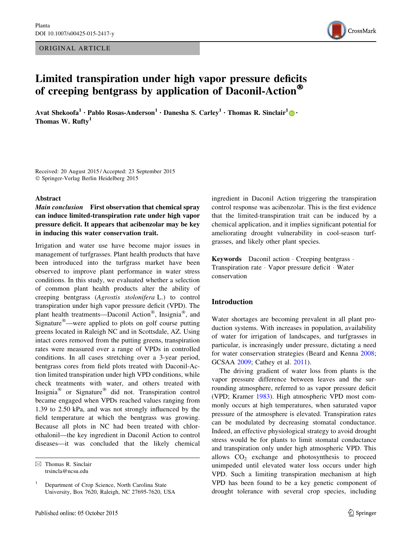ORIGINAL ARTICLE



# Limited transpiration under high vapor pressure deficits of creeping bentgrass by application of Daconil-Action<sup>®</sup>

Avat Shekoofa<sup>1</sup> · Pablo Rosas-Anderson<sup>1</sup> · Danesha S. Carley<sup>1</sup> · Thomas R. Sinclair<sup>1</sup> Thomas W. Ruftv<sup>1</sup>

Received: 20 August 2015 / Accepted: 23 September 2015 - Springer-Verlag Berlin Heidelberg 2015

#### Abstract

Main conclusion First observation that chemical spray can induce limited-transpiration rate under high vapor pressure deficit. It appears that acibenzolar may be key in inducing this water conservation trait.

Irrigation and water use have become major issues in management of turfgrasses. Plant health products that have been introduced into the turfgrass market have been observed to improve plant performance in water stress conditions. In this study, we evaluated whether a selection of common plant health products alter the ability of creeping bentgrass (Agrostis stolonifera L.) to control transpiration under high vapor pressure deficit (VPD). The plant health treatments—Daconil Action®, Insignia®, and Signature<sup>®</sup>—were applied to plots on golf course putting greens located in Raleigh NC and in Scottsdale, AZ. Using intact cores removed from the putting greens, transpiration rates were measured over a range of VPDs in controlled conditions. In all cases stretching over a 3-year period, bentgrass cores from field plots treated with Daconil-Action limited transpiration under high VPD conditions, while check treatments with water, and others treated with Insignia<sup>®</sup> or Signature<sup>®</sup> did not. Transpiration control became engaged when VPDs reached values ranging from 1.39 to 2.50 kPa, and was not strongly influenced by the field temperature at which the bentgrass was growing. Because all plots in NC had been treated with chlorothalonil—the key ingredient in Daconil Action to control diseases—it was concluded that the likely chemical

ingredient in Daconil Action triggering the transpiration control response was acibenzolar. This is the first evidence that the limited-transpiration trait can be induced by a chemical application, and it implies significant potential for ameliorating drought vulnerability in cool-season turfgrasses, and likely other plant species.

Keywords Daconil action - Creeping bentgrass - Transpiration rate - Vapor pressure deficit - Water conservation

## Introduction

Water shortages are becoming prevalent in all plant production systems. With increases in population, availability of water for irrigation of landscapes, and turfgrasses in particular, is increasingly under pressure, dictating a need for water conservation strategies (Beard and Kenna [2008](#page-5-0); GCSAA [2009](#page-6-0); Cathey et al. [2011\)](#page-5-0).

The driving gradient of water loss from plants is the vapor pressure difference between leaves and the surrounding atmosphere, referred to as vapor pressure deficit (VPD; Kramer [1983](#page-6-0)). High atmospheric VPD most commonly occurs at high temperatures, when saturated vapor pressure of the atmosphere is elevated. Transpiration rates can be modulated by decreasing stomatal conductance. Indeed, an effective physiological strategy to avoid drought stress would be for plants to limit stomatal conductance and transpiration only under high atmospheric VPD. This allows  $CO<sub>2</sub>$  exchange and photosynthesis to proceed unimpeded until elevated water loss occurs under high VPD. Such a limiting transpiration mechanism at high VPD has been found to be a key genetic component of drought tolerance with several crop species, including

 $\boxtimes$  Thomas R. Sinclair trsincla@ncsu.edu

<sup>&</sup>lt;sup>1</sup> Department of Crop Science, North Carolina State University, Box 7620, Raleigh, NC 27695-7620, USA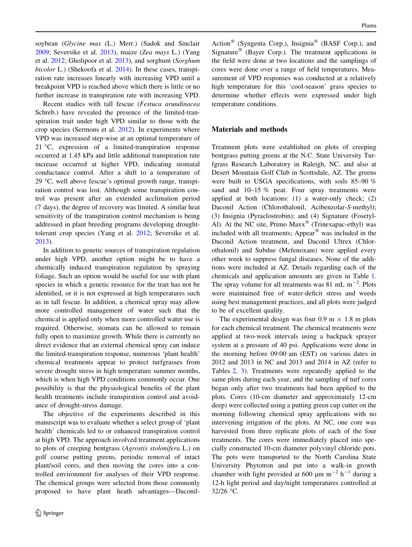soybean (Glycine max (L.) Merr.) (Sadok and Sinclair [2009;](#page-6-0) Seversike et al. [2013\)](#page-6-0), maize (Zea mays L.) (Yang et al. [2012;](#page-6-0) Gholipoor et al. [2013](#page-6-0)), and sorghum (Sorghum bicolor L.) (Shekoofa et al. [2014\)](#page-6-0). In these cases, transpiration rate increases linearly with increasing VPD until a breakpoint VPD is reached above which there is little or no further increase in transpiration rate with increasing VPD.

Recent studies with tall fescue (Festuca arundinacea Schreb.) have revealed the presence of the limited-transpiration trait under high VPD similar to those with the crop species (Sermons et al. [2012\)](#page-6-0). In experiments where VPD was increased step-wise at an optimal temperature of 21  $°C$ , expression of a limited-transpiration response occurred at 1.45 kPa and little additional transpiration rate increase occurred at higher VPD, indicating stomatal conductance control. After a shift to a temperature of 29  $\degree$ C, well above fescue's optimal growth range, transpiration control was lost. Although some transpiration control was present after an extended acclimation period (7 days), the degree of recovery was limited. A similar heat sensitivity of the transpiration control mechanism is being addressed in plant breeding programs developing droughttolerant crop species (Yang et al. [2012](#page-6-0); Seversike et al. [2013\)](#page-6-0).

In addition to genetic sources of transpiration regulation under high VPD, another option might be to have a chemically induced transpiration regulation by spraying foliage. Such an option would be useful for use with plant species in which a genetic resource for the trait has not be identified, or it is not expressed at high temperatures such as in tall fescue. In addition, a chemical spray may allow more controlled management of water such that the chemical is applied only when more controlled water use is required. Otherwise, stomata can be allowed to remain fully open to maximize growth. While there is currently no direct evidence that an external chemical spray can induce the limited-transpiration response, numerous 'plant health' chemical treatments appear to protect turfgrasses from severe drought stress in high temperature summer months, which is when high VPD conditions commonly occur. One possibility is that the physiological benefits of the plant health treatments include transpiration control and avoidance of drought-stress damage.

The objective of the experiments described in this manuscript was to evaluate whether a select group of 'plant health' chemicals led to or enhanced transpiration control at high VPD. The approach involved treatment applications to plots of creeping bentgrass (Agrostis stolonifera L.) on golf course putting greens, periodic removal of intact plant/soil cores, and then moving the cores into a controlled environment for analyses of their VPD response. The chemical groups were selected from those commonly proposed to have plant heath advantages—Daconil-

Action<sup>®</sup> (Syngenta Corp.), Insignia<sup>®</sup> (BASF Corp.), and Signature<sup>®</sup> (Bayer Corp.). The treatment applications in the field were done at two locations and the samplings of cores were done over a range of field temperatures. Measurement of VPD responses was conducted at a relatively high temperature for this 'cool-season' grass species to determine whether effects were expressed under high temperature conditions.

## Materials and methods

Treatment plots were established on plots of creeping bentgrass putting greens at the N.C. State University Turfgrass Research Laboratory in Raleigh, NC, and also at Desert Mountain Golf Club in Scottsdale, AZ. The greens were built to USGA specifications, with soils 85–90 % sand and 10–15 % peat. Four spray treatments were applied at both locations: (1) a water-only check; (2) Daconil Action (Chlorothalonil, Acibenzolar-S-methyl); (3) Insignia (Pyraclostrobin); and (4) Signature (Fosetyl-Al). At the NC site, Primo  $Maxx^{\circledR}$  (Trinexapac-ethyl) was included with all treatments; Appear® was included in the Daconil Action treatment, and Daconil Ultrex (Chlorothalonil) and Subdue (Mefenoxam) were applied every other week to suppress fungal diseases. None of the additions were included at AZ. Details regarding each of the chemicals and application amounts are given in Table [1.](#page-2-0) The spray volume for all treatments was 81 mL  $\mathrm{m}^{-2}$ . Plots were maintained free of water-deficit stress and weeds using best management practices, and all plots were judged to be of excellent quality.

The experimental design was four 0.9 m  $\times$  1.8 m plots for each chemical treatment. The chemical treatments were applied at two-week intervals using a backpack sprayer system at a pressure of 40 psi. Applications were done in the morning before 09:00 am (EST) on various dates in 2012 and 2013 in NC and 2013 and 2014 in AZ (refer to Tables [2](#page-3-0), [3](#page-4-0)). Treatments were repeatedly applied to the same plots during each year, and the sampling of turf cores began only after two treatments had been applied to the plots. Cores (10-cm diameter and approximately 12-cm deep) were collected using a putting green cup cutter on the morning following chemical spray applications with no intervening irrigation of the plots. At NC, one core was harvested from three replicate plots of each of the four treatments. The cores were immediately placed into specially constructed 10-cm diameter polyvinyl chloride pots. The pots were transported to the North Carolina State University Phytotron and put into a walk-in growth chamber with light provided at 600  $\mu$ m m<sup>-2</sup> h<sup>-1</sup> during a 12-h light period and day/night temperatures controlled at  $32/26$  °C.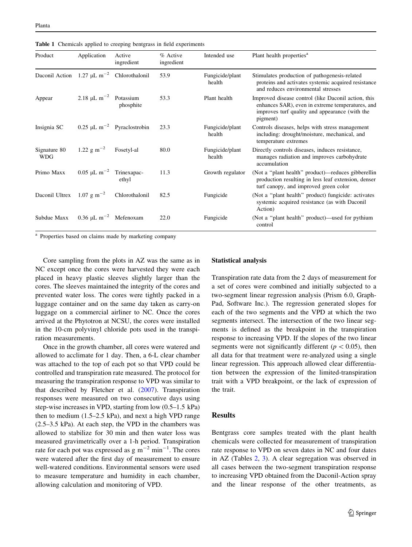<span id="page-2-0"></span>Table 1 Chemicals applied to creeping bentgrass in field experiments

| Product                                                    | Application                             | Active<br>ingredient                       | % Active<br>ingredient | Intended use              | Plant health properties <sup>a</sup>                                                                                                                                  |
|------------------------------------------------------------|-----------------------------------------|--------------------------------------------|------------------------|---------------------------|-----------------------------------------------------------------------------------------------------------------------------------------------------------------------|
| Daconil Action 1.27 $\mu$ L m <sup>-2</sup> Chlorothalonil |                                         |                                            | 53.9                   | Fungicide/plant<br>health | Stimulates production of pathogenesis-related<br>proteins and activates systemic acquired resistance<br>and reduces environmental stresses                            |
| Appear                                                     | 2.18 $\mu$ L m <sup>-2</sup> Potassium  | phosphite                                  | 53.3                   | Plant health              | Improved disease control (like Daconil action, this<br>enhances SAR), even in extreme temperatures, and<br>improves turf quality and appearance (with the<br>pigment) |
| Insignia SC                                                |                                         | $0.25 \mu L \text{ m}^{-2}$ Pyraclostrobin | 23.3                   | Fungicide/plant<br>health | Controls diseases, helps with stress management<br>including: drought/moisture, mechanical, and<br>temperature extremes                                               |
| Signature 80<br><b>WDG</b>                                 | 1.22 g m <sup><math>^{-2}</math></sup>  | Fosetyl-al                                 | 80.0                   | Fungicide/plant<br>health | Directly controls diseases, induces resistance,<br>manages radiation and improves carbohydrate<br>accumulation                                                        |
| Primo Maxx                                                 | $0.05 \mu L \text{ m}^{-2}$ Trinexapac- | ethyl                                      | 11.3                   | Growth regulator          | (Not a "plant health" product)—reduces gibberellin<br>production resulting in less leaf extension, denser<br>turf canopy, and improved green color                    |
| Daconil Ultrex $1.07 \text{ g m}^{-2}$                     |                                         | Chlorothalonil                             | 82.5                   | Fungicide                 | (Not a "plant health" product) fungicide: activates<br>systemic acquired resistance (as with Daconil<br>Action)                                                       |
| Subdue Maxx                                                | 0.36 $\mu$ L m <sup>-2</sup> Mefenoxam  |                                            | 22.0                   | Fungicide                 | (Not a "plant health" product)—used for pythium<br>control                                                                                                            |

<sup>a</sup> Properties based on claims made by marketing company

Core sampling from the plots in AZ was the same as in NC except once the cores were harvested they were each placed in heavy plastic sleeves slightly larger than the cores. The sleeves maintained the integrity of the cores and prevented water loss. The cores were tightly packed in a luggage container and on the same day taken as carry-on luggage on a commercial airliner to NC. Once the cores arrived at the Phytotron at NCSU, the cores were installed in the 10-cm polyvinyl chloride pots used in the transpiration measurements.

Once in the growth chamber, all cores were watered and allowed to acclimate for 1 day. Then, a 6-L clear chamber was attached to the top of each pot so that VPD could be controlled and transpiration rate measured. The protocol for measuring the transpiration response to VPD was similar to that described by Fletcher et al. [\(2007](#page-6-0)). Transpiration responses were measured on two consecutive days using step-wise increases in VPD, starting from low (0.5–1.5 kPa) then to medium (1.5–2.5 kPa), and next a high VPD range (2.5–3.5 kPa). At each step, the VPD in the chambers was allowed to stabilize for 30 min and then water loss was measured gravimetrically over a 1-h period. Transpiration rate for each pot was expressed as  $g \text{ m}^{-2} \text{ min}^{-1}$ . The cores were watered after the first day of measurement to ensure well-watered conditions. Environmental sensors were used to measure temperature and humidity in each chamber, allowing calculation and monitoring of VPD.

#### Statistical analysis

Transpiration rate data from the 2 days of measurement for a set of cores were combined and initially subjected to a two-segment linear regression analysis (Prism 6.0, Graph-Pad, Software Inc.). The regression generated slopes for each of the two segments and the VPD at which the two segments intersect. The intersection of the two linear segments is defined as the breakpoint in the transpiration response to increasing VPD. If the slopes of the two linear segments were not significantly different ( $p\lt0.05$ ), then all data for that treatment were re-analyzed using a single linear regression. This approach allowed clear differentiation between the expression of the limited-transpiration trait with a VPD breakpoint, or the lack of expression of the trait.

#### Results

Bentgrass core samples treated with the plant health chemicals were collected for measurement of transpiration rate response to VPD on seven dates in NC and four dates in AZ (Tables [2,](#page-3-0) [3](#page-4-0)). A clear segregation was observed in all cases between the two-segment transpiration response to increasing VPD obtained from the Daconil-Action spray and the linear response of the other treatments, as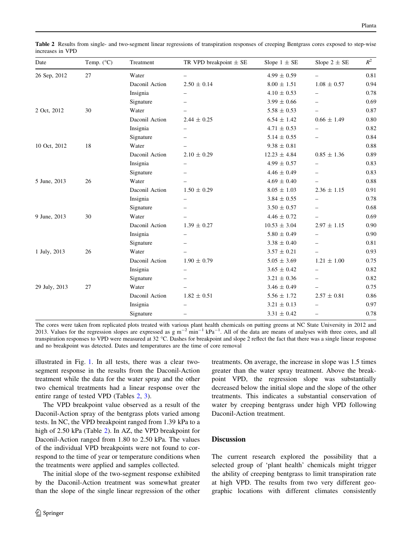| Date          | Temp. (°C) | Treatment      | TR VPD breakpoint $\pm$ SE | Slope $1 \pm SE$ | Slope $2 \pm SE$ | $R^2$ |
|---------------|------------|----------------|----------------------------|------------------|------------------|-------|
| 26 Sep, 2012  | 27         | Water          |                            | $4.99 \pm 0.59$  |                  | 0.81  |
|               |            | Daconil Action | $2.50 \pm 0.14$            | $8.00 \pm 1.51$  | $1.08 \pm 0.57$  | 0.94  |
|               |            | Insignia       |                            | $4.10 \pm 0.53$  |                  | 0.78  |
|               |            | Signature      |                            | $3.99 \pm 0.66$  |                  | 0.69  |
| 2 Oct, 2012   | 30         | Water          |                            | $5.58 \pm 0.53$  |                  | 0.87  |
|               |            | Daconil Action | $2.44 \pm 0.25$            | $6.54 \pm 1.42$  | $0.66 \pm 1.49$  | 0.80  |
|               |            | Insignia       |                            | $4.71 \pm 0.53$  |                  | 0.82  |
|               |            | Signature      |                            | $5.14 \pm 0.55$  |                  | 0.84  |
| 10 Oct, 2012  | 18         | Water          |                            | $9.38 \pm 0.81$  |                  | 0.88  |
|               |            | Daconil Action | $2.10 \pm 0.29$            | $12.23 \pm 4.84$ | $0.85 \pm 1.36$  | 0.89  |
|               |            | Insignia       |                            | $4.99 \pm 0.57$  |                  | 0.83  |
|               |            | Signature      |                            | $4.46 \pm 0.49$  |                  | 0.83  |
| 5 June, 2013  | 26         | Water          |                            | $4.69 \pm 0.40$  |                  | 0.88  |
|               |            | Daconil Action | $1.50 \pm 0.29$            | $8.05 \pm 1.03$  | $2.36 \pm 1.15$  | 0.91  |
|               |            | Insignia       |                            | $3.84 \pm 0.55$  |                  | 0.78  |
|               |            | Signature      |                            | $3.50 \pm 0.57$  |                  | 0.68  |
| 9 June, 2013  | 30         | Water          |                            | $4.46 \pm 0.72$  |                  | 0.69  |
|               |            | Daconil Action | $1.39 \pm 0.27$            | $10.53 \pm 3.04$ | $2.97 \pm 1.15$  | 0.90  |
|               |            | Insignia       |                            | $5.80 \pm 0.49$  |                  | 0.90  |
|               |            | Signature      |                            | $3.38 \pm 0.40$  |                  | 0.81  |
| 1 July, 2013  | 26         | Water          |                            | $3.57 \pm 0.21$  |                  | 0.93  |
|               |            | Daconil Action | $1.90 \pm 0.79$            | $5.05 \pm 3.69$  | $1.21 \pm 1.00$  | 0.75  |
|               |            | Insignia       |                            | $3.65 \pm 0.42$  |                  | 0.82  |
|               |            | Signature      |                            | $3.21 \pm 0.36$  |                  | 0.82  |
| 29 July, 2013 | 27         | Water          |                            | $3.46 \pm 0.49$  |                  | 0.75  |
|               |            | Daconil Action | $1.82 \pm 0.51$            | $5.56 \pm 1.72$  | $2.57 \pm 0.81$  | 0.86  |
|               |            | Insignia       |                            | $3.21 \pm 0.13$  |                  | 0.97  |
|               |            | Signature      | $\overline{\phantom{0}}$   | $3.31 \pm 0.42$  |                  | 0.78  |

<span id="page-3-0"></span>Table 2 Results from single- and two-segment linear regressions of transpiration responses of creeping Bentgrass cores exposed to step-wise increases in VPD

The cores were taken from replicated plots treated with various plant health chemicals on putting greens at NC State University in 2012 and 2013. Values for the regression slopes are expressed as g  $m^{-2}$  min<sup>-1</sup> kPa<sup>-1</sup>. All of the data are means of analyses with three cores, and all transpiration responses to VPD were measured at 32 °C. Dashes for breakpoint and slope 2 reflect the fact that there was a single linear response and no breakpoint was detected. Dates and temperatures are the time of core removal

illustrated in Fig. [1](#page-4-0). In all tests, there was a clear twosegment response in the results from the Daconil-Action treatment while the data for the water spray and the other two chemical treatments had a linear response over the entire range of tested VPD (Tables 2, [3](#page-4-0)).

The VPD breakpoint value observed as a result of the Daconil-Action spray of the bentgrass plots varied among tests. In NC, the VPD breakpoint ranged from 1.39 kPa to a high of 2.50 kPa (Table 2). In AZ, the VPD breakpoint for Daconil-Action ranged from 1.80 to 2.50 kPa. The values of the individual VPD breakpoints were not found to correspond to the time of year or temperature conditions when the treatments were applied and samples collected.

The initial slope of the two-segment response exhibited by the Daconil-Action treatment was somewhat greater than the slope of the single linear regression of the other treatments. On average, the increase in slope was 1.5 times greater than the water spray treatment. Above the breakpoint VPD, the regression slope was substantially decreased below the initial slope and the slope of the other treatments. This indicates a substantial conservation of water by creeping bentgrass under high VPD following Daconil-Action treatment.

### **Discussion**

The current research explored the possibility that a selected group of 'plant health' chemicals might trigger the ability of creeping bentgrass to limit transpiration rate at high VPD. The results from two very different geographic locations with different climates consistently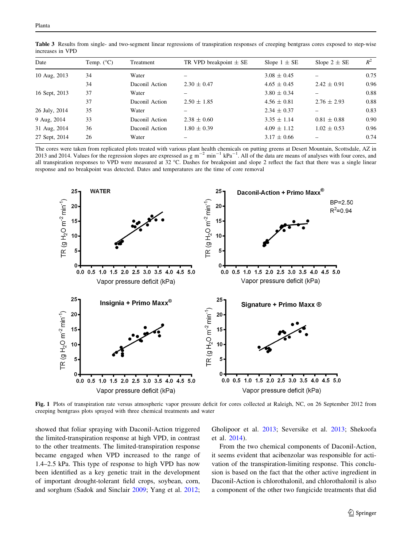| Date          | Temp. $(^{\circ}C)$ | Treatment      | TR VPD breakpoint $\pm$ SE | Slope $1 \pm SE$ | Slope $2 \pm SE$ | $R^2$ |
|---------------|---------------------|----------------|----------------------------|------------------|------------------|-------|
| 10 Aug, 2013  | 34                  | Water          |                            | $3.08 \pm 0.45$  |                  | 0.75  |
|               | 34                  | Daconil Action | $2.30 \pm 0.47$            | $4.65 \pm 0.45$  | $2.42 \pm 0.91$  | 0.96  |
| 16 Sept, 2013 | 37                  | Water          |                            | $3.80 \pm 0.34$  |                  | 0.88  |
|               | 37                  | Daconil Action | $2.50 \pm 1.85$            | $4.56 \pm 0.81$  | $2.76 \pm 2.93$  | 0.88  |
| 26 July, 2014 | 35                  | Water          |                            | $2.34 \pm 0.37$  |                  | 0.83  |
| 9 Aug, 2014   | 33                  | Daconil Action | $2.38 \pm 0.60$            | $3.35 \pm 1.14$  | $0.81 \pm 0.88$  | 0.90  |
| 31 Aug, 2014  | 36                  | Daconil Action | $1.80 \pm 0.39$            | $4.09 \pm 1.12$  | $1.02 \pm 0.53$  | 0.96  |
| 27 Sept, 2014 | 26                  | Water          |                            | $3.17 \pm 0.66$  |                  | 0.74  |
|               |                     |                |                            |                  |                  |       |

<span id="page-4-0"></span>Table 3 Results from single- and two-segment linear regressions of transpiration responses of creeping bentgrass cores exposed to step-wise increases in VPD

The cores were taken from replicated plots treated with various plant health chemicals on putting greens at Desert Mountain, Scottsdale, AZ in 2013 and 2014. Values for the regression slopes are expressed as  $g m^{-2}$  min<sup>-1</sup> kPa<sup>-1</sup>. All of the data are means of analyses with four cores, and all transpiration responses to VPD were measured at 32 °C. Dashes for breakpoint and slope 2 reflect the fact that there was a single linear response and no breakpoint was detected. Dates and temperatures are the time of core removal



Fig. 1 Plots of transpiration rate versus atmospheric vapor pressure deficit for cores collected at Raleigh, NC, on 26 September 2012 from creeping bentgrass plots sprayed with three chemical treatments and water

showed that foliar spraying with Daconil-Action triggered the limited-transpiration response at high VPD, in contrast to the other treatments. The limited-transpiration response became engaged when VPD increased to the range of 1.4–2.5 kPa. This type of response to high VPD has now been identified as a key genetic trait in the development of important drought-tolerant field crops, soybean, corn, and sorghum (Sadok and Sinclair [2009](#page-6-0); Yang et al. [2012](#page-6-0); Gholipoor et al. [2013;](#page-6-0) Seversike et al. [2013;](#page-6-0) Shekoofa et al. [2014](#page-6-0)).

From the two chemical components of Daconil-Action, it seems evident that acibenzolar was responsible for activation of the transpiration-limiting response. This conclusion is based on the fact that the other active ingredient in Daconil-Action is chlorothalonil, and chlorothalonil is also a component of the other two fungicide treatments that did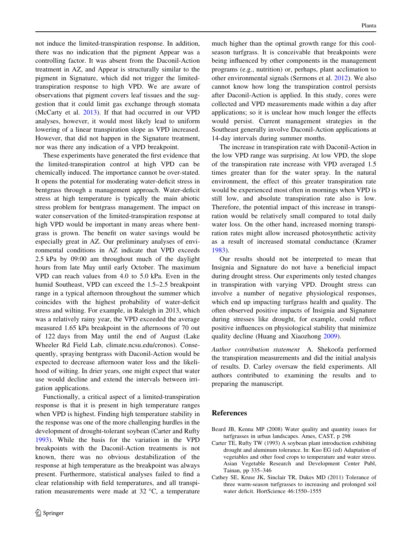<span id="page-5-0"></span>not induce the limited-transpiration response. In addition, there was no indication that the pigment Appear was a controlling factor. It was absent from the Daconil-Action treatment in AZ, and Appear is structurally similar to the pigment in Signature, which did not trigger the limitedtranspiration response to high VPD. We are aware of observations that pigment covers leaf tissues and the suggestion that it could limit gas exchange through stomata (McCarty et al. [2013](#page-6-0)). If that had occurred in our VPD analyses, however, it would most likely lead to uniform lowering of a linear transpiration slope as VPD increased. However, that did not happen in the Signature treatment, nor was there any indication of a VPD breakpoint.

These experiments have generated the first evidence that the limited-transpiration control at high VPD can be chemically induced. The importance cannot be over-stated. It opens the potential for moderating water-deficit stress in bentgrass through a management approach. Water-deficit stress at high temperature is typically the main abiotic stress problem for bentgrass management. The impact on water conservation of the limited-transpiration response at high VPD would be important in many areas where bentgrass is grown. The benefit on water savings would be especially great in AZ. Our preliminary analyses of environmental conditions in AZ indicate that VPD exceeds 2.5 kPa by 09:00 am throughout much of the daylight hours from late May until early October. The maximum VPD can reach values from 4.0 to 5.0 kPa. Even in the humid Southeast, VPD can exceed the 1.5–2.5 breakpoint range in a typical afternoon throughout the summer which coincides with the highest probability of water-deficit stress and wilting. For example, in Raleigh in 2013, which was a relatively rainy year, the VPD exceeded the average measured 1.65 kPa breakpoint in the afternoons of 70 out of 122 days from May until the end of August (Lake Wheeler Rd Field Lab, climate.ncsu.edu/cronos). Consequently, spraying bentgrass with Daconil-Action would be expected to decrease afternoon water loss and the likelihood of wilting. In drier years, one might expect that water use would decline and extend the intervals between irrigation applications.

Functionally, a critical aspect of a limited-transpiration response is that it is present in high temperature ranges when VPD is highest. Finding high temperature stability in the response was one of the more challenging hurdles in the development of drought-tolerant soybean (Carter and Rufty 1993). While the basis for the variation in the VPD breakpoints with the Daconil-Action treatments is not known, there was no obvious destabilization of the response at high temperature as the breakpoint was always present. Furthermore, statistical analyses failed to find a clear relationship with field temperatures, and all transpiration measurements were made at  $32 °C$ , a temperature much higher than the optimal growth range for this coolseason turfgrass. It is conceivable that breakpoints were being influenced by other components in the management programs (e.g., nutrition) or, perhaps, plant acclimation to other environmental signals (Sermons et al. [2012](#page-6-0)). We also cannot know how long the transpiration control persists after Daconil-Action is applied. In this study, cores were collected and VPD measurements made within a day after applications; so it is unclear how much longer the effects would persist. Current management strategies in the Southeast generally involve Daconil-Action applications at 14-day intervals during summer months.

The increase in transpiration rate with Daconil-Action in the low VPD range was surprising. At low VPD, the slope of the transpiration rate increase with VPD averaged 1.5 times greater than for the water spray. In the natural environment, the effect of this greater transpiration rate would be experienced most often in mornings when VPD is still low, and absolute transpiration rate also is low. Therefore, the potential impact of this increase in transpiration would be relatively small compared to total daily water loss. On the other hand, increased morning transpiration rates might allow increased photosynthetic activity as a result of increased stomatal conductance (Kramer [1983](#page-6-0)).

Our results should not be interpreted to mean that Insignia and Signature do not have a beneficial impact during drought stress. Our experiments only tested changes in transpiration with varying VPD. Drought stress can involve a number of negative physiological responses, which end up impacting turfgrass health and quality. The often observed positive impacts of Insignia and Signature during stresses like drought, for example, could reflect positive influences on physiological stability that minimize quality decline (Huang and Xiaozhong [2009\)](#page-6-0).

Author contribution statement A. Shekoofa performed the transpiration measurements and did the initial analysis of results. D. Carley oversaw the field experiments. All authors contributed to examining the results and to preparing the manuscript.

#### References

- Beard JB, Kenna MP (2008) Water quality and quantity issues for turfgrasses in urban landscapes. Ames, CAST, p 298
- Carter TE, Rufty TW (1993) A soybean plant introduction exhibiting drought and aluminum tolerance. In: Kuo EG (ed) Adaptation of vegetables and other food crops to temperature and water stress. Asian Vegetable Research and Development Center Publ, Tainan, pp 335–346
- Cathey SE, Kruse JK, Sinclair TR, Dukes MD (2011) Tolerance of three warm-season turfgrasses to increasing and prolonged soil water deficit. HortScience 46:1550–1555